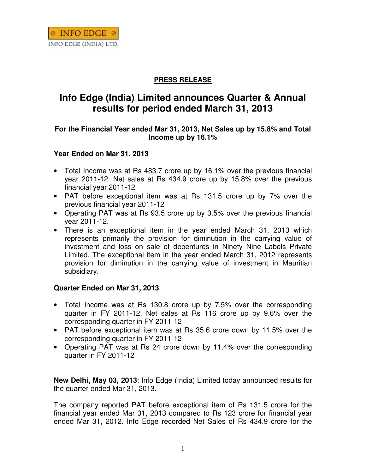## **PRESS RELEASE**

# **Info Edge (India) Limited announces Quarter & Annual results for period ended March 31, 2013**

### **For the Financial Year ended Mar 31, 2013, Net Sales up by 15.8% and Total Income up by 16.1%**

### **Year Ended on Mar 31, 2013**

- Total Income was at Rs 483.7 crore up by 16.1% over the previous financial year 2011-12. Net sales at Rs 434.9 crore up by 15.8% over the previous financial year 2011-12
- PAT before exceptional item was at Rs 131.5 crore up by 7% over the previous financial year 2011-12
- Operating PAT was at Rs 93.5 crore up by 3.5% over the previous financial year 2011-12.
- There is an exceptional item in the year ended March 31, 2013 which represents primarily the provision for diminution in the carrying value of investment and loss on sale of debentures in Ninety Nine Labels Private Limited. The exceptional item in the year ended March 31, 2012 represents provision for diminution in the carrying value of investment in Mauritian subsidiary.

### **Quarter Ended on Mar 31, 2013**

- Total Income was at Rs 130.8 crore up by 7.5% over the corresponding quarter in FY 2011-12. Net sales at Rs 116 crore up by 9.6% over the corresponding quarter in FY 2011-12
- PAT before exceptional item was at Rs 35.6 crore down by 11.5% over the corresponding quarter in FY 2011-12
- Operating PAT was at Rs 24 crore down by 11.4% over the corresponding quarter in FY 2011-12

**New Delhi, May 03, 2013**: Info Edge (India) Limited today announced results for the quarter ended Mar 31, 2013.

The company reported PAT before exceptional item of Rs 131.5 crore for the financial year ended Mar 31, 2013 compared to Rs 123 crore for financial year ended Mar 31, 2012. Info Edge recorded Net Sales of Rs 434.9 crore for the